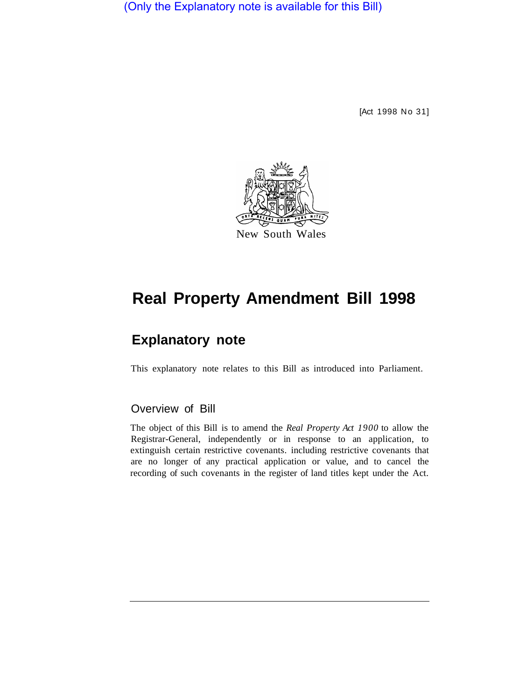(Only the Explanatory note is available for this Bill)

[Act 1998 No 31]



# **Real Property Amendment Bill 1998**

# **Explanatory note**

This explanatory note relates to this Bill as introduced into Parliament.

# Overview of Bill

The object of this Bill is to amend the *Real Property Act 1900* to allow the Registrar-General, independently or in response to an application, to extinguish certain restrictive covenants. including restrictive covenants that are no longer of any practical application or value, and to cancel the recording of such covenants in the register of land titles kept under the Act.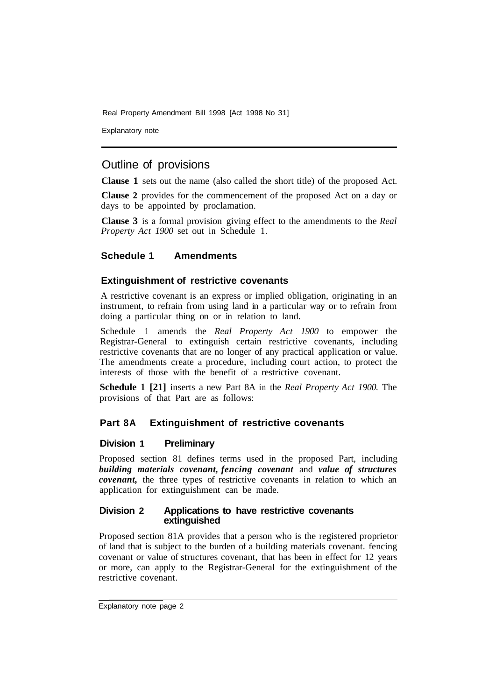Explanatory note

# Outline of provisions

**Clause 1** sets out the name (also called the short title) of the proposed Act.

**Clause 2** provides for the commencement of the proposed Act on a day or days to be appointed by proclamation.

**Clause 3** is a formal provision giving effect to the amendments to the *Real Property Act 1900* set out in Schedule 1.

#### **Schedule 1 Amendments**

#### **Extinguishment of restrictive covenants**

A restrictive covenant is an express or implied obligation, originating in an instrument, to refrain from using land in a particular way or to refrain from doing a particular thing on or in relation to land.

Schedule 1 amends the *Real Property Act 1900* to empower the Registrar-General to extinguish certain restrictive covenants, including restrictive covenants that are no longer of any practical application or value. The amendments create a procedure, including court action, to protect the interests of those with the benefit of a restrictive covenant.

**Schedule 1 [21]** inserts a new Part 8A in the *Real Property Act 1900.* The provisions of that Part are as follows:

#### **Part 8A Extinguishment of restrictive covenants**

#### **Division 1 Preliminary**

Proposed section 81 defines terms used in the proposed Part, including *building materials covenant, fencing covenant* and *value of structures covenant*, the three types of restrictive covenants in relation to which an application for extinguishment can be made.

#### **Division 2 Applications to have restrictive covenants extinguished**

Proposed section 81A provides that a person who is the registered proprietor of land that is subject to the burden of a building materials covenant. fencing covenant or value of structures covenant, that has been in effect for 12 years or more, can apply to the Registrar-General for the extinguishment of the restrictive covenant.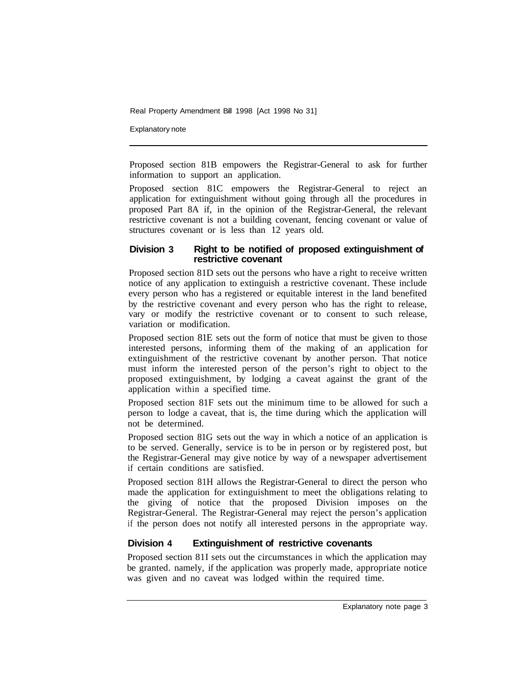Explanatory note

Proposed section 81B empowers the Registrar-General to ask for further information to support an application.

Proposed section 81C empowers the Registrar-General to reject an application for extinguishment without going through all the procedures in proposed Part 8A if, in the opinion of the Registrar-General, the relevant restrictive covenant is not a building covenant, fencing covenant or value of structures covenant or is less than 12 years old.

#### **Division 3 Right to be notified of proposed extinguishment of restrictive covenant**

Proposed section 81D sets out the persons who have a right to receive written notice of any application to extinguish a restrictive covenant. These include every person who has a registered or equitable interest in the land benefited by the restrictive covenant and every person who has the right to release, vary or modify the restrictive covenant or to consent to such release, variation or modification.

Proposed section 81E sets out the form of notice that must be given to those interested persons, informing them of the making of an application for extinguishment of the restrictive covenant by another person. That notice must inform the interested person of the person's right to object to the proposed extinguishment, by lodging a caveat against the grant of the application within a specified time.

Proposed section 81F sets out the minimum time to be allowed for such a person to lodge a caveat, that is, the time during which the application will not be determined.

Proposed section 81G sets out the way in which a notice of an application is to be served. Generally, service is to be in person or by registered post, but the Registrar-General may give notice by way of a newspaper advertisement if certain conditions are satisfied.

Proposed section 81H allows the Registrar-General to direct the person who made the application for extinguishment to meet the obligations relating to the giving of notice that the proposed Division imposes on the Registrar-General. The Registrar-General may reject the person's application if the person does not notify all interested persons in the appropriate way.

## **Division 4 Extinguishment of restrictive covenants**

Proposed section 81I sets out the circumstances in which the application may be granted. namely, if the application was properly made, appropriate notice was given and no caveat was lodged within the required time.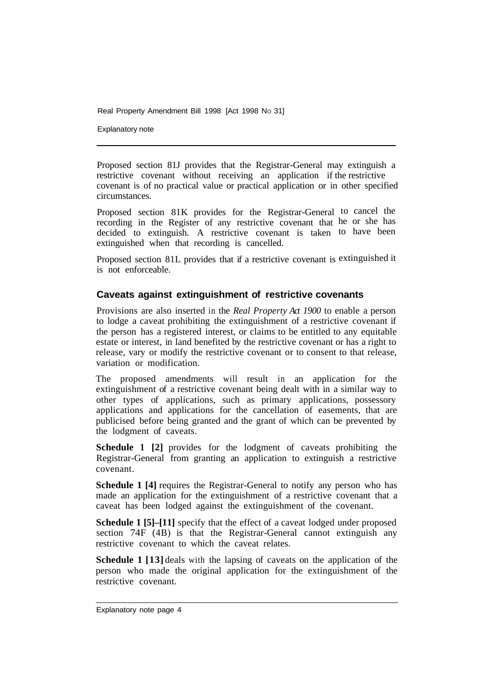Explanatory note

Proposed section 81J provides that the Registrar-General may extinguish a restrictive covenant without receiving an application if the restrictive covenant is of no practical value or practical application or in other specified circumstances.

Proposed section 81K provides for the Registrar-General to cancel the recording in the Register of any restrictive covenant that he or she has decided to extinguish. A restrictive covenant is taken to have been extinguished when that recording is cancelled.

Proposed section 81L provides that if a restrictive covenant is extinguished it is not enforceable.

#### **Caveats against extinguishment of restrictive covenants**

Provisions are also inserted in the *Real Property Act 1900* to enable a person to lodge a caveat prohibiting the extinguishment of a restrictive covenant if the person has a registered interest, or claims to be entitled to any equitable estate or interest, in land benefited by the restrictive covenant or has a right to release, vary or modify the restrictive covenant or to consent to that release, variation or modification.

The proposed amendments will result in an application for the extinguishment of a restrictive covenant being dealt with in a similar way to other types of applications, such as primary applications, possessory applications and applications for the cancellation of easements, that are publicised before being granted and the grant of which can be prevented by the lodgment of caveats.

**Schedule 1 [2]** provides for the lodgment of caveats prohibiting the Registrar-General from granting an application to extinguish a restrictive covenant.

**Schedule 1** [4] requires the Registrar-General to notify any person who has made an application for the extinguishment of a restrictive covenant that a caveat has been lodged against the extinguishment of the covenant.

**Schedule 1 [5]–[11]** specify that the effect of a caveat lodged under proposed section 74F (4B) is that the Registrar-General cannot extinguish any restrictive covenant to which the caveat relates.

**Schedule 1 [13]** deals with the lapsing of caveats on the application of the person who made the original application for the extinguishment of the restrictive covenant.